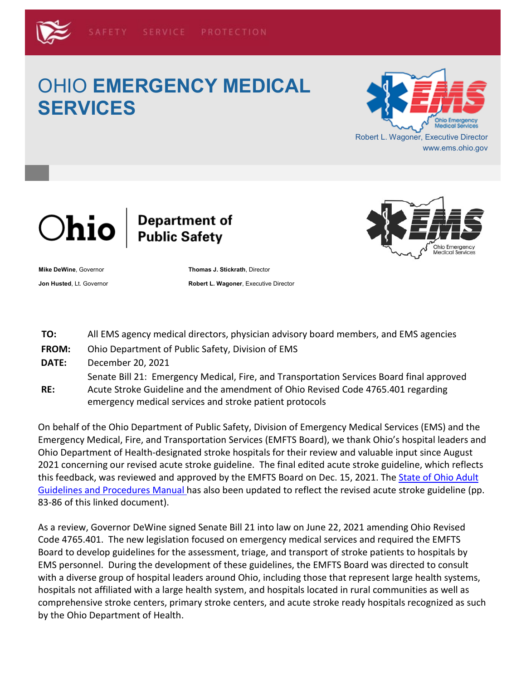# OHIO **EMERGENCY MEDICAL SERVICES**





**Mike DeWine**, Governor **Thomas J. Stickrath**, Director **Jon Husted, Lt. Governor <b>Robert L. Wagoner**, Executive Director



- **TO:** All EMS agency medical directors, physician advisory board members, and EMS agencies
- **FROM:** Ohio Department of Public Safety, Division of EMS
- **DATE:** December 20, 2021

Senate Bill 21: Emergency Medical, Fire, and Transportation Services Board final approved

**RE:** Acute Stroke Guideline and the amendment of Ohio Revised Code 4765.401 regarding emergency medical services and stroke patient protocols

On behalf of the Ohio Department of Public Safety, Division of Emergency Medical Services (EMS) and the Emergency Medical, Fire, and Transportation Services (EMFTS Board), we thank Ohio's hospital leaders and Ohio Department of Health-designated stroke hospitals for their review and valuable input since August 2021 concerning our revised acute stroke guideline. The final edited acute stroke guideline, which reflects this feedback, was reviewed and approved by the EMFTS Board on Dec. 15, 2021. The [State of Ohio Adult](https://lnks.gd/l/eyJhbGciOiJIUzI1NiJ9.eyJidWxsZXRpbl9saW5rX2lkIjoxMDEsInVyaSI6ImJwMjpjbGljayIsImJ1bGxldGluX2lkIjoiMjAyMTEyMjAuNTA2MDAxNzEiLCJ1cmwiOiJodHRwczovL3d3dy5lbXMub2hpby5nb3YvbGlua3MvZW1zX0d1aWRlbGluZXMtUHJvY2VkdXJlcy1NYW51YWwucGRmIn0.juqSYwThNGLB1kV0DDWdcgqjGYTi8EKtc1E0UDeNSG4/s/624118588/br/123430495578-l)  [Guidelines and Procedures Manual h](https://lnks.gd/l/eyJhbGciOiJIUzI1NiJ9.eyJidWxsZXRpbl9saW5rX2lkIjoxMDEsInVyaSI6ImJwMjpjbGljayIsImJ1bGxldGluX2lkIjoiMjAyMTEyMjAuNTA2MDAxNzEiLCJ1cmwiOiJodHRwczovL3d3dy5lbXMub2hpby5nb3YvbGlua3MvZW1zX0d1aWRlbGluZXMtUHJvY2VkdXJlcy1NYW51YWwucGRmIn0.juqSYwThNGLB1kV0DDWdcgqjGYTi8EKtc1E0UDeNSG4/s/624118588/br/123430495578-l)as also been updated to reflect the revised acute stroke guideline (pp. 83-86 of this linked document).

As a review, Governor DeWine signed Senate Bill 21 into law on June 22, 2021 amending Ohio Revised Code 4765.401. The new legislation focused on emergency medical services and required the EMFTS Board to develop guidelines for the assessment, triage, and transport of stroke patients to hospitals by EMS personnel. During the development of these guidelines, the EMFTS Board was directed to consult with a diverse group of hospital leaders around Ohio, including those that represent large health systems, hospitals not affiliated with a large health system, and hospitals located in rural communities as well as comprehensive stroke centers, primary stroke centers, and acute stroke ready hospitals recognized as such by the Ohio Department of Health.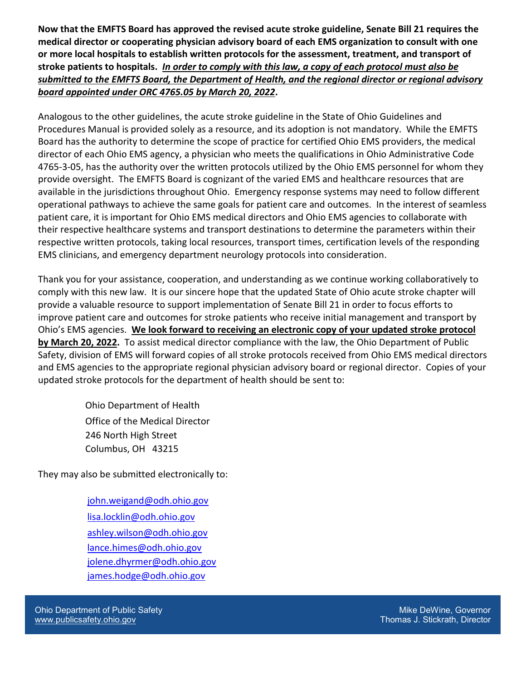**Now that the EMFTS Board has approved the revised acute stroke guideline, Senate Bill 21 requires the medical director or cooperating physician advisory board of each EMS organization to consult with one or more local hospitals to establish written protocols for the assessment, treatment, and transport of stroke patients to hospitals.** *In order to comply with this law, a copy of each protocol must also be submitted to the EMFTS Board, the Department of Health, and the regional director or regional advisory board appointed under ORC 4765.05 by March 20, 2022***.**

Analogous to the other guidelines, the acute stroke guideline in the State of Ohio Guidelines and Procedures Manual is provided solely as a resource, and its adoption is not mandatory. While the EMFTS Board has the authority to determine the scope of practice for certified Ohio EMS providers, the medical director of each Ohio EMS agency, a physician who meets the qualifications in Ohio Administrative Code 4765-3-05, has the authority over the written protocols utilized by the Ohio EMS personnel for whom they provide oversight. The EMFTS Board is cognizant of the varied EMS and healthcare resources that are available in the jurisdictions throughout Ohio. Emergency response systems may need to follow different operational pathways to achieve the same goals for patient care and outcomes. In the interest of seamless patient care, it is important for Ohio EMS medical directors and Ohio EMS agencies to collaborate with their respective healthcare systems and transport destinations to determine the parameters within their respective written protocols, taking local resources, transport times, certification levels of the responding EMS clinicians, and emergency department neurology protocols into consideration.

Thank you for your assistance, cooperation, and understanding as we continue working collaboratively to comply with this new law. It is our sincere hope that the updated State of Ohio acute stroke chapter will provide a valuable resource to support implementation of Senate Bill 21 in order to focus efforts to improve patient care and outcomes for stroke patients who receive initial management and transport by Ohio's EMS agencies. **We look forward to receiving an electronic copy of your updated stroke protocol by March 20, 2022.** To assist medical director compliance with the law, the Ohio Department of Public Safety, division of EMS will forward copies of all stroke protocols received from Ohio EMS medical directors and EMS agencies to the appropriate regional physician advisory board or regional director. Copies of your updated stroke protocols for the department of health should be sent to:

> Ohio Department of Health Office of the Medical Director 246 North High Street Columbus, OH 43215

They may also be submitted electronically to:

[john.weigand@odh.ohio.gov](mailto:john.weigand@odh.ohio.gov) [lisa.locklin@odh.ohio.gov](mailto:lisa.locklin@odh.ohio.gov) [ashley.wilson@odh.ohio.gov](mailto:ashley.wilson@odh.ohio.gov) [lance.himes@odh.ohio.gov](mailto:lance.himes@odh.ohio.gov) [jolene.dhyrmer@odh.ohio.gov](mailto:jolene.dhyrmer@odh.ohio.gov) [james.hodge@odh.ohio.gov](mailto:james.hodge@odh.ohio.gov)

Ohio Department of Public Safety [www.publicsafety.ohio.gov](https://lnks.gd/l/eyJhbGciOiJIUzI1NiJ9.eyJidWxsZXRpbl9saW5rX2lkIjoxMDIsInVyaSI6ImJwMjpjbGljayIsImJ1bGxldGluX2lkIjoiMjAyMTEyMjAuNTA2MDAxNzEiLCJ1cmwiOiJodHRwOi8vd3d3LnB1YmxpY3NhZmV0eS5vaGlvLmdvdi8ifQ.cIAvZWeyYAfqDabWgfCFJJsy__HntPzfuN-VKWPSDig/s/624118588/br/123430495578-l)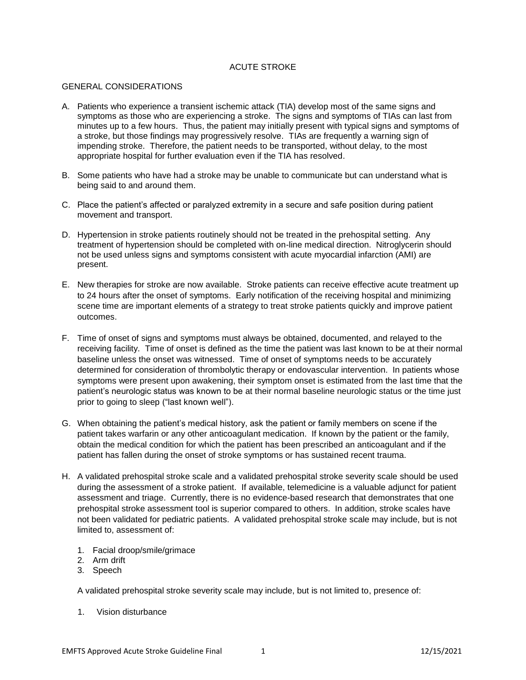#### ACUTE STROKE

#### GENERAL CONSIDERATIONS

- A. Patients who experience a transient ischemic attack (TIA) develop most of the same signs and symptoms as those who are experiencing a stroke. The signs and symptoms of TIAs can last from minutes up to a few hours. Thus, the patient may initially present with typical signs and symptoms of a stroke, but those findings may progressively resolve. TIAs are frequently a warning sign of impending stroke. Therefore, the patient needs to be transported, without delay, to the most appropriate hospital for further evaluation even if the TIA has resolved.
- B. Some patients who have had a stroke may be unable to communicate but can understand what is being said to and around them.
- C. Place the patient's affected or paralyzed extremity in a secure and safe position during patient movement and transport.
- D. Hypertension in stroke patients routinely should not be treated in the prehospital setting. Any treatment of hypertension should be completed with on-line medical direction. Nitroglycerin should not be used unless signs and symptoms consistent with acute myocardial infarction (AMI) are present.
- E. New therapies for stroke are now available. Stroke patients can receive effective acute treatment up to 24 hours after the onset of symptoms. Early notification of the receiving hospital and minimizing scene time are important elements of a strategy to treat stroke patients quickly and improve patient outcomes.
- F. Time of onset of signs and symptoms must always be obtained, documented, and relayed to the receiving facility. Time of onset is defined as the time the patient was last known to be at their normal baseline unless the onset was witnessed. Time of onset of symptoms needs to be accurately determined for consideration of thrombolytic therapy or endovascular intervention. In patients whose symptoms were present upon awakening, their symptom onset is estimated from the last time that the patient's neurologic status was known to be at their normal baseline neurologic status or the time just prior to going to sleep ("last known well").
- G. When obtaining the patient's medical history, ask the patient or family members on scene if the patient takes warfarin or any other anticoagulant medication. If known by the patient or the family, obtain the medical condition for which the patient has been prescribed an anticoagulant and if the patient has fallen during the onset of stroke symptoms or has sustained recent trauma.
- H. A validated prehospital stroke scale and a validated prehospital stroke severity scale should be used during the assessment of a stroke patient. If available, telemedicine is a valuable adjunct for patient assessment and triage. Currently, there is no evidence-based research that demonstrates that one prehospital stroke assessment tool is superior compared to others. In addition, stroke scales have not been validated for pediatric patients. A validated prehospital stroke scale may include, but is not limited to, assessment of:
	- 1. Facial droop/smile/grimace
	- 2. Arm drift
	- 3. Speech

A validated prehospital stroke severity scale may include, but is not limited to, presence of:

1. Vision disturbance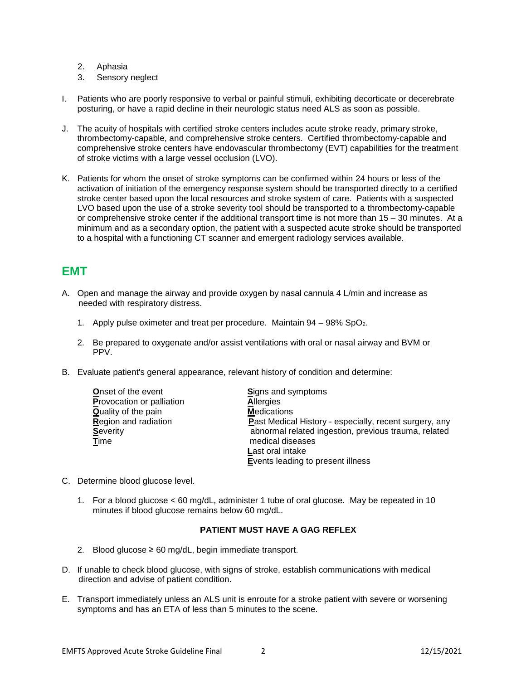- 2. Aphasia
- 3. Sensory neglect
- I. Patients who are poorly responsive to verbal or painful stimuli, exhibiting decorticate or decerebrate posturing, or have a rapid decline in their neurologic status need ALS as soon as possible.
- J. The acuity of hospitals with certified stroke centers includes acute stroke ready, primary stroke, thrombectomy-capable, and comprehensive stroke centers. Certified thrombectomy-capable and comprehensive stroke centers have endovascular thrombectomy (EVT) capabilities for the treatment of stroke victims with a large vessel occlusion (LVO).
- K. Patients for whom the onset of stroke symptoms can be confirmed within 24 hours or less of the activation of initiation of the emergency response system should be transported directly to a certified stroke center based upon the local resources and stroke system of care. Patients with a suspected LVO based upon the use of a stroke severity tool should be transported to a thrombectomy-capable or comprehensive stroke center if the additional transport time is not more than 15 – 30 minutes. At a minimum and as a secondary option, the patient with a suspected acute stroke should be transported to a hospital with a functioning CT scanner and emergent radiology services available.

## **EMT**

- A. Open and manage the airway and provide oxygen by nasal cannula 4 L/min and increase as needed with respiratory distress.
	- 1. Apply pulse oximeter and treat per procedure. Maintain 94 98% SpO<sub>2</sub>.
	- 2. Be prepared to oxygenate and/or assist ventilations with oral or nasal airway and BVM or PPV.
- B. Evaluate patient's general appearance, relevant history of condition and determine:

| <b>Onset of the event</b>   | <b>Signs and symptoms</b>                              |
|-----------------------------|--------------------------------------------------------|
| Provocation or palliation   | <b>Allergies</b>                                       |
| <b>Quality of the pain</b>  | <b>Medications</b>                                     |
| <b>Region and radiation</b> | Past Medical History - especially, recent surgery, any |
| <b>Severity</b>             | abnormal related ingestion, previous trauma, related   |
| Time                        | medical diseases                                       |
|                             | Last oral intake                                       |
|                             | Events leading to present illness                      |

- C. Determine blood glucose level.
	- 1. For a blood glucose < 60 mg/dL, administer 1 tube of oral glucose. May be repeated in 10 minutes if blood glucose remains below 60 mg/dL.

#### **PATIENT MUST HAVE A GAG REFLEX**

- 2. Blood glucose  $\geq 60$  mg/dL, begin immediate transport.
- D. If unable to check blood glucose, with signs of stroke, establish communications with medical direction and advise of patient condition.
- E. Transport immediately unless an ALS unit is enroute for a stroke patient with severe or worsening symptoms and has an ETA of less than 5 minutes to the scene.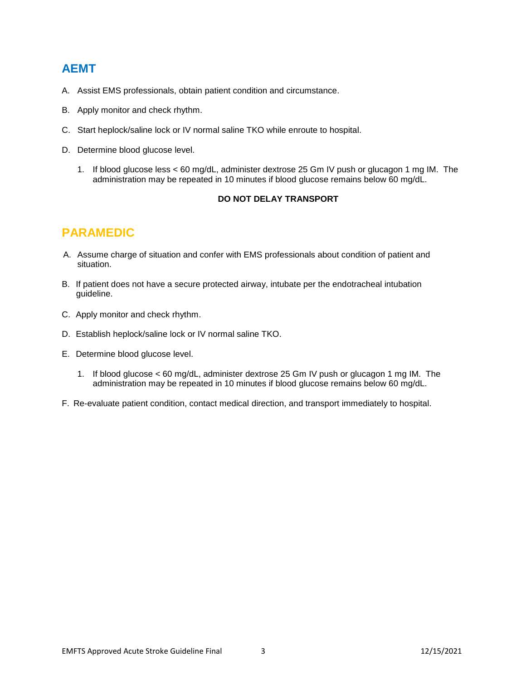### **AEMT**

- A. Assist EMS professionals, obtain patient condition and circumstance.
- B. Apply monitor and check rhythm.
- C. Start heplock/saline lock or IV normal saline TKO while enroute to hospital.
- D. Determine blood glucose level.
	- 1. If blood glucose less < 60 mg/dL, administer dextrose 25 Gm IV push or glucagon 1 mg IM. The administration may be repeated in 10 minutes if blood glucose remains below 60 mg/dL.

#### **DO NOT DELAY TRANSPORT**

## **PARAMEDIC**

- A. Assume charge of situation and confer with EMS professionals about condition of patient and situation.
- B. If patient does not have a secure protected airway, intubate per the endotracheal intubation guideline.
- C. Apply monitor and check rhythm.
- D. Establish heplock/saline lock or IV normal saline TKO.
- E. Determine blood glucose level.
	- 1. If blood glucose < 60 mg/dL, administer dextrose 25 Gm IV push or glucagon 1 mg IM. The administration may be repeated in 10 minutes if blood glucose remains below 60 mg/dL.
- F. Re-evaluate patient condition, contact medical direction, and transport immediately to hospital.